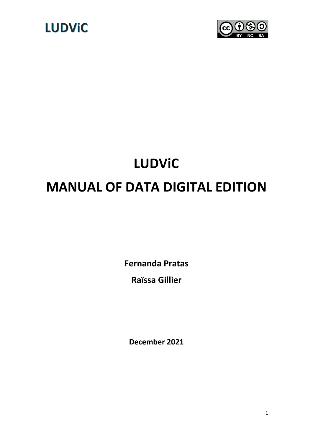



# **LUDViC MANUAL OF DATA DIGITAL EDITION**

**Fernanda Pratas**

**Raïssa Gillier**

**December 2021**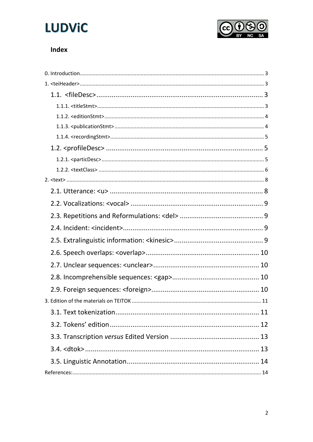



## Index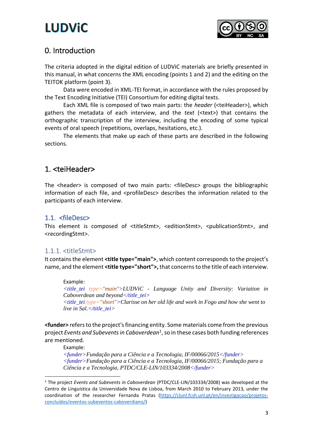

# <span id="page-2-0"></span>0. Introduction

The criteria adopted in the digital edition of LUDViC materials are briefly presented in this manual, in what concerns the XML encoding (points 1 and 2) and the editing on the TEITOK platform (point 3).

Data were encoded in XML-TEI format, in accordance with the rules proposed by the Text Encoding Initiative (TEI) Consortium for editing digital texts.

Each XML file is composed of two main parts: the *header* (<teiHeader>), which gathers the metadata of each interview, and the *text* (<text>) that contains the orthographic transcription of the interview, including the encoding of some typical events of oral speech (repetitions, overlaps, hesitations, etc.).

The elements that make up each of these parts are described in the following sections.

# <span id="page-2-1"></span>1. <teiHeader>

The <header> is composed of two main parts: <fileDesc> groups the bibliographic information of each file, and <profileDesc> describes the information related to the participants of each interview.

### <span id="page-2-2"></span>1.1. <fileDesc>

This element is composed of <titleStmt>, <editionStmt>, <publicationStmt>, and <recordingStmt>.

#### <span id="page-2-3"></span>1.1.1. <titleStmt>

It contains the element **<title type="main">**, which content corresponds to the project's name, and the element **<title type="short">,**that concerns to the title of each interview.

#### Example:

*<title\_tei type="main">LUDViC - Language Unity and Diversity: Variation in Caboverdean and beyond</title\_tei>*

*<title\_tei type="short">Clarisse on her old life and work in Fogo and how she went to live in Sal.</title\_tei>*

**<funder>** refers to the project's financing entity. Some materials come from the previous project *Events and Subevents in Caboverdean*<sup>1</sup> , so in these cases both funding references are mentioned.

Example:

*<funder>Fundação para a Ciência e a Tecnologia, IF/00066/2015</funder> <funder>Fundação para a Ciência e a Tecnologia, IF/00066/2015; Fundação para a Ciência e a Tecnologia, PTDC/CLE-LIN/103334/2008</funder>*

<sup>1</sup> The project *Events and Subevents in Caboverdean* (PTDC/CLE-LIN/103334/2008) was developed at the Centro de Linguística da Universidade Nova de Lisboa, from March 2010 to February 2013, under the coordination of the researcher Fernanda Pratas [\(https://clunl.fcsh.unl.pt/en/investigacao/projetos](https://clunl.fcsh.unl.pt/en/investigacao/projetos-concluidos/eventos-subeventos-caboverdiano/)[concluidos/eventos-subeventos-caboverdiano/\)](https://clunl.fcsh.unl.pt/en/investigacao/projetos-concluidos/eventos-subeventos-caboverdiano/)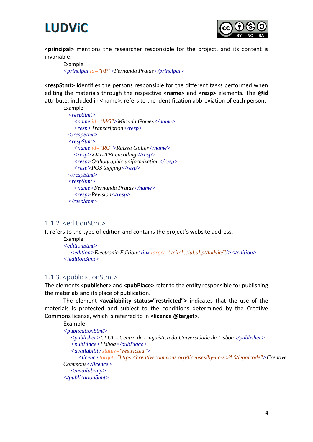# **I UDViC**



**<principal>** mentions the researcher responsible for the project, and its content is invariable.

Example: *<principal id="FP">Fernanda Pratas</principal>*

**<respStmt>** identifies the persons responsible for the different tasks performed when editing the materials through the respective **<name>** and **<resp>** elements. The **@id** attribute, included in <name>, refers to the identification abbreviation of each person.

Example:

```
 <respStmt>
   <name id="MG">Mireida Gomes</name>
   <resp>Transcription</resp>
 </respStmt>
 <respStmt>
   <name id="RG">Raïssa Gillier</name>
   <resp>XML-TEI encoding</resp>
   <resp>Orthographic uniformization</resp>
   <resp>POS tagging</resp>
 </respStmt>
 <respStmt>
   <name>Fernanda Pratas</name>
   <resp>Revision</resp>
 </respStmt>
```
#### <span id="page-3-0"></span>1.1.2. <editionStmt>

It refers to the type of edition and contains the project's website address.

Example: *<editionStmt> <edition>Electronic Edition<link target="teitok.clul.ul.pt/ludvic/"/></edition> </editionStmt>*

### <span id="page-3-1"></span>1.1.3. <publicationStmt>

The elements **<publisher>** and **<pubPlace>** refer to the entity responsible for publishing the materials and its place of publication.

The element **<availability status="restricted">** indicates that the use of the materials is protected and subject to the conditions determined by the Creative Commons license, which is referred to in **<licence @target>**.

Example:

```
<publicationStmt>
    <publisher>CLUL - Centro de Linguística da Universidade de Lisboa</publisher>
    <pubPlace>Lisboa</pubPlace>
    <availability status="restricted">
      <licence target="https://creativecommons.org/licenses/by-nc-sa/4.0/legalcode">Creative 
Commons</licence>
    </availability>
</publicationStmt>
```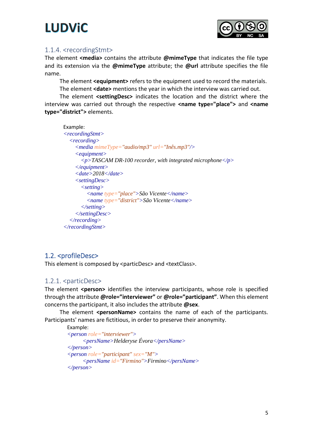

### <span id="page-4-0"></span>1.1.4. <recordingStmt>

The element **<media>** contains the attribute **@mimeType** that indicates the file type and its extension via the **@mimeType** attribute; the **@url** attribute specifies the file name.

The element **<equipment>** refers to the equipment used to record the materials.

The element **<date>** mentions the year in which the interview was carried out.

The element **<settingDesc>** indicates the location and the district where the interview was carried out through the respective **<name type="place">** and **<name type="district">** elements.

```
Example:
<recordingStmt>
   <recording>
     <media mimeType="audio/mp3" url="Inês.mp3"/>
     <equipment>
        <p>TASCAM DR-100 recorder, with integrated microphone</p>
     </equipment>
     <date>2018</date>
     <settingDesc>
       <setting>
          <name type="place">São Vicente</name>
          <name type="district">São Vicente</name>
       </setting>
     </settingDesc>
   </recording>
</recordingStmt>
```
### <span id="page-4-1"></span>1.2. <profileDesc>

This element is composed by <particDesc> and <textClass>.

#### <span id="page-4-2"></span>1.2.1. <particDesc>

The element **<person>** identifies the interview participants, whose role is specified through the attribute **@role="interviewer"** or **@role="participant"**. When this element concerns the participant, it also includes the attribute **@sex**.

The element <personName> contains the name of each of the participants. Participants' names are fictitious, in order to preserve their anonymity.

Example:

```
<person role="interviewer">
     <persName>Helderyse Évora</persName>
</person> 
<person role="participant" sex="M">
     <persName id="Firmino">Firmino</persName>
</person>
```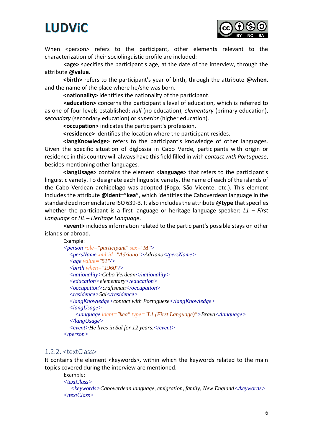# **LUDViC**



When <person> refers to the participant, other elements relevant to the characterization of their sociolinguistic profile are included:

**<age>** specifies the participant's age, at the date of the interview, through the attribute **@value**.

**<birth>** refers to the participant's year of birth, through the attribute **@when**, and the name of the place where he/she was born.

**<nationality>** identifies the nationality of the participant.

**<education>** concerns the participant's level of education, which is referred to as one of four levels established: *null* (no education), *elementary* (primary education), *secondary* (secondary education) or *superior* (higher education).

**<occupation>** indicates the participant's profession.

**<residence>** identifies the location where the participant resides.

**<langKnowledge>** refers to the participant's knowledge of other languages. Given the specific situation of diglossia in Cabo Verde, participants with origin or residence in this country will always have this field filled in with *contact with Portuguese*, besides mentioning other languages.

**<langUsage>** contains the element **<language>** that refers to the participant's linguistic variety. To designate each linguistic variety, the name of each of the islands of the Cabo Verdean archipelago was adopted (Fogo, São Vicente, etc.). This element includes the attribute **@ident="kea"**, which identifies the Caboverdean language in the standardized nomenclature ISO 639-3. It also includes the attribute **@type** that specifies whether the participant is a first language or heritage language speaker: *L1 – First Language* or *HL – Heritage Language*.

**<event>** includes information related to the participant's possible stays on other islands or abroad.

Example:

*<person role="participant" sex="M"> <persName xml:id="Adriano">Adriano</persName> <age value="51"/> <birth when="1960"/> <nationality>Cabo Verdean</nationality> <education>elementary</education> <occupation>craftsman</occupation> <residence>Sal</residence> <langKnowledge>contact with Portuguese</langKnowledge> <langUsage> <language ident="kea" type="L1 (First Language)">Brava</language> </langUsage> <event>He lives in Sal for 12 years.</event> </person>*

#### <span id="page-5-0"></span>1.2.2. <textClass>

It contains the element <keywords>, within which the keywords related to the main topics covered during the interview are mentioned.

Example: *<textClass> <keywords>Caboverdean language, emigration, family, New England</keywords> </textClass>*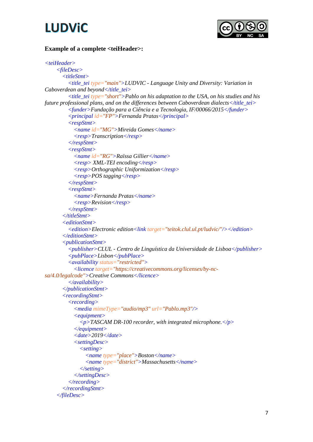



#### **Example of a complete <teiHeader>:**

```
<teiHeader>
      <fileDesc>
        <titleStmt>
          <title_tei type="main">LUDVIC - Language Unity and Diversity: Variation in 
Caboverdean and beyond</title_tei>
          <title_tei type="short">Pablo on his adaptation to the USA, on his studies and his 
future professional plans, and on the differences between Caboverdean dialects</title_tei>
          <funder>Fundação para a Ciência e a Tecnologia, IF/00066/2015</funder>
          <principal id="FP">Fernanda Pratas</principal>
          <respStmt>
             <name id="MG">Mireida Gomes</name>
             <resp>Transcription</resp>
          </respStmt>
          <respStmt>
             <name id="RG">Raïssa Gillier</name>
             <resp> XML-TEI encoding</resp>
             <resp>Orthographic Uniformization</resp>
             <resp>POS tagging</resp>
          </respStmt>
          <respStmt>
             <name>Fernanda Pratas</name>
             <resp>Revision</resp>
          </respStmt>
        </titleStmt>
        <editionStmt>
          <edition>Electronic edition<link target="teitok.clul.ul.pt/ludvic/"/></edition>
        </editionStmt>
        <publicationStmt>
          <publisher>CLUL - Centro de Linguística da Universidade de Lisboa</publisher>
          <pubPlace>Lisbon</pubPlace>
          <availability status="restricted">
             <licence target="https://creativecommons.org/licenses/by-nc-
sa/4.0/legalcode">Creative Commons</licence>
          </availability>
        </publicationStmt>
        <recordingStmt>
          <recording>
             <media mimeType="audio/mp3" url="Pablo.mp3"/>
             <equipment>
               <p>TASCAM DR-100 recorder, with integrated microphone.</p>
             </equipment>
             <date>2019</date>
             <settingDesc>
               <setting>
                  <name type="place">Boston</name>
                  <name type="district">Massachusetts</name>
               </setting>
             </settingDesc>
          </recording>
        </recordingStmt>
      </fileDesc>
```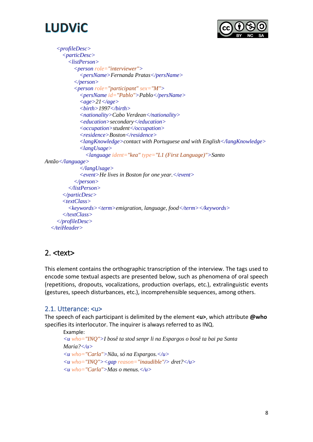# **I UDVIC**



```
 <profileDesc>
        <particDesc>
          <listPerson>
            <person role="interviewer">
               <persName>Fernanda Pratas</persName>
            </person>
            <person role="participant" sex="M">
               <persName id="Pablo">Pablo</persName>
               <age>21</age>
               <birth>1997</birth>
               <nationality>Cabo Verdean</nationality>
               <education>secondary</education>
               <occupation>student</occupation>
               <residence>Boston</residence>
               <langKnowledge>contact with Portuguese and with English</langKnowledge>
               <langUsage>
                 <language ident="kea" type="L1 (First Language)">Santo 
Antão</language>
               </langUsage>
               <event>He lives in Boston for one year.</event>
            </person>
          </listPerson>
        </particDesc>
        <textClass>
          <keywords><term>emigration, language, food</term></keywords>
        </textClass>
     </profileDesc>
   </teiHeader>
```
# <span id="page-7-0"></span>2. <text>

This element contains the orthographic transcription of the interview. The tags used to encode some textual aspects are presented below, such as phenomena of oral speech (repetitions, dropouts, vocalizations, production overlaps, etc.), extralinguistic events (gestures, speech disturbances, etc.), incomprehensible sequences, among others.

### <span id="page-7-1"></span>2.1. Utterance: <u>

The speech of each participant is delimited by the element <u>, which attribute @who specifies its interlocutor. The inquirer is always referred to as INQ.

Example: *<u who="INQ">I bosê ta stod senpr li na Espargos o bosê ta bai pa Santa Maria?</u> <u who="Carla">Nãu, só na Espargos.</u>*  $\langle u \ who \rangle = \langle I \rangle \langle v \rangle$  *kgap reason="inaudible"/> dret?*  $\langle u \rangle$ *<u who="Carla">Mas o menus.</u>*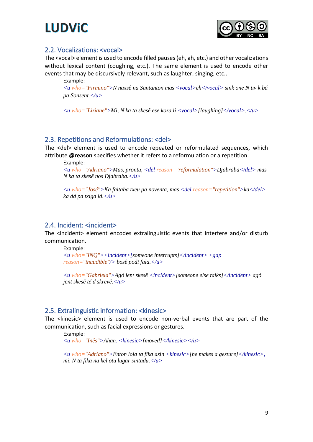# **LUDViC**



#### <span id="page-8-0"></span>2.2. Vocalizations: <vocal>

The <vocal> element is used to encode filled pauses (eh, ah, etc.) and other vocalizations without lexical content (coughing, etc.). The same element is used to encode other events that may be discursively relevant, such as laughter, singing, etc..

Example: *<u who="Firmino">N naxsê na Santanton mas <vocal>eh</vocal> sink one N tiv k bá pa Sonsent.*  $\langle u \rangle$ 

*<u who="Liziane">Mi, N ka ta skesê ese koza li <vocal>[laughing]</vocal>.</u>*

#### <span id="page-8-1"></span>2.3. Repetitions and Reformulations: <del>

The <del> element is used to encode repeated or reformulated sequences, which attribute **@reason** specifies whether it refers to a reformulation or a repetition.

Example:

*<u who="Adriano">Mas, prontu, <del reason="reformulation">Djabraba</del> mas N ka ta skesê nos Djabraba.</u>*

*<u who="José">Ka faltaba txeu pa noventa, mas <del reason="repetition">ka</del> ka dá pa txiga lá.</u>*

#### <span id="page-8-2"></span>2.4. Incident: <incident>

The <incident> element encodes extralinguistic events that interfere and/or disturb communication.

Example:

```
<u who="INQ"><incident>[someone interrupts]</incident> <gap
reason="inaudible"/> bosê podi fala.</u>
```
*<u who="Gabriela">Agó jent skesê <incident>[someone else talks]</incident> agó jent skesê té d skrevê.</u>*

#### <span id="page-8-3"></span>2.5. Extralinguistic information: <kinesic>

The <kinesic> element is used to encode non-verbal events that are part of the communication, such as facial expressions or gestures.

Example:

*<u who="Inês">Ahan. <kinesic>[moved]</kinesic></u>*

*<u who="Adriano">Enton loja ta fika asin <kinesic>[he makes a gesture]</kinesic>, mi, N ta fika na kel otu lugar sintadu.* $\langle \rangle u \rangle$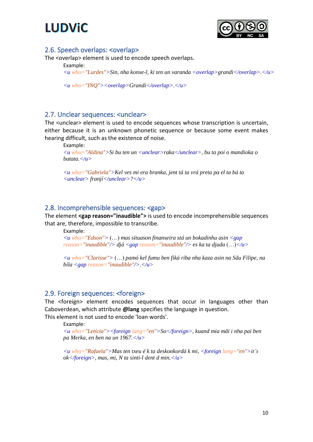



#### <span id="page-9-0"></span>2.6. Speech overlaps: <overlap>

The <overlap> element is used to encode speech overlaps.

Example:

*<u who="Lurdes">Sin, nha konxe-l, ki ten un varanda <overlap>grandi</overlap>.</u>*

 $\langle u \ who = \text{''} \text{NO''} \rangle$ 

#### <span id="page-9-1"></span>2.7. Unclear sequences: <unclear>

The <unclear> element is used to encode sequences whose transcription is uncertain, either because it is an unknown phonetic sequence or because some event makes hearing difficult, such as the existence of noise.

Example:

*<u who="Aldina">Si bu ten un <unclear>raka</unclear>, bu ta poi o mandioka o*   $b$ *atata.* $\langle u \rangle$ 

*<u who="Gabriela">Kel ves mi era branka, jent tá ta vrá preta pa el ta bá ta <unclear> franjí</unclear>?</u>*

#### <span id="page-9-2"></span>2.8. Incomprehensible sequences: <gap>

The element **<gap reason="inaudible">** is used to encode incomprehensible sequences that are, therefore, impossible to transcribe.

Example:

*<u who="Edson">* (…) *mas situason finanseira stá un bokadinhu asin <gap reason="inaudible"/> djá <gap reason="inaudible"/> es ka ta djuda* (…)*</u>*

*<u who="Clarisse">* (…) *pamó kel fumu ben fiká riba nha kaza asin na Sãu Filipe, na bila <gap reason="inaudible"/>.</u>*

#### <span id="page-9-3"></span>2.9. Foreign sequences: <foreign>

The <foreign> element encodes sequences that occur in languages other than Caboverdean, which attribute **@lang** specifies the language in question. This element is not used to encode 'loan words'.

Example:

*<u who="Letícia"><foreign lang="en">So</foreign>, kuand mia mãi i nha pai ben pa Merka, en ben na un 1967.</u>*

*<u who="Rafaela">Mas ten txeu é k ta deskonkordá k mi, <foreign lang="en">it's ok</foreign>, mas, mi, N ta sinti-l dent d min.</u>*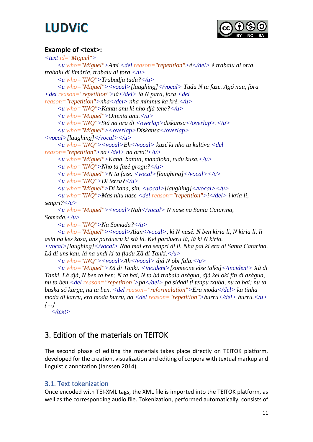

### **Example of <text>:**

```
<text id="Miguel">
     <u who="Miguel">Ami <del reason="repetition">é</del> é trabaiu di orta, 
trabaiu di limária, trabaiu di fora.</u>
     <u who="INQ">Trabadja tudu?</u>
     <u who="Miguel"><vocal>[laughing]</vocal> Tudu N ta faze. Agó nau, fora 
<del reason="repetition">iá</del> iá N para, fora <del
reason="repetition">nha</del> nha mininus ka krê.
     <u who="INQ">Kantu anu ki nho djá tene?</u>
     <u who="Miguel">Oitenta anu.</u>
     <u who="INQ">Stá na ora di <overlap>diskansa</overlap>.</u>
     <u who="Miguel"><overlap>Diskansa</overlap>. 
<vocal>[laughing]</vocal></u>
     <u who="INQ"><vocal>Eh</vocal> kuzé ki nho ta kultiva <del
reason="repetition">na</del> na orta?</u>
     <u who="Miguel">Kana, batata, mandioka, tudu kuza.</u>
     <u who="INQ">Nho ta fazê grogu?</u>
     <u who="Miguel">N ta faze. <vocal>[laughing]</vocal></u>
     <u who="INQ">Di terra?</u>
     <u who="Miguel">Di kana, sin. <vocal>[laughing]</vocal></u>
     <u who="INQ">Mas nhu nase <del reason="repetition">i</del> i kria li, 
senpri?</u>
     <u who="Miguel"><vocal>Nah</vocal> N nase na Santa Catarina, 
Somada.</u>
     <u who="INQ">Na Somada?</u>
     <u who="Miguel"><vocal>Aian</vocal>, ki N nasê. N ben kiria li, N kiria li, li 
asin na kes kaza, uns pardueru ki stá lá. Kel pardueru lá, lá ki N kiria. 
<vocal>[laughing]</vocal> Nha mai era senpri di li. Nha pai ki era di Santa Catarina. 
Lá di uns kau, lá na undi ki ta fladu Xã di Tanki.</u>
     <u who="INQ"><vocal>Ah</vocal> djá N obi fala.</u>
     <u who="Miguel">Xã di Tanki. <incident>[someone else talks]</incident> Xã di 
Tanki. Lá djá, N ben ta ben: N ta bai, N ta bá trabaia azágua, djá kel oki fin di azágua, 
nu ta ben <del reason="repetition">pa</del> pa sidadi ti tenpu txuba, nu ta bai; nu ta 
buska só karga, nu ta ben. <del reason="reformulation">Era moda</del> ka tinha 
moda di karru, era moda burru, na <del reason="repetition">burru</del> burru.</u>
[…] 
   </text>
```
# <span id="page-10-0"></span>3. Edition of the materials on TEITOK

The second phase of editing the materials takes place directly on TEITOK platform, developed for the creation, visualization and editing of corpora with textual markup and linguistic annotation (Janssen 2014).

#### <span id="page-10-1"></span>3.1. Text tokenization

Once encoded with TEI-XML tags, the XML file is imported into the TEITOK platform, as well as the corresponding audio file. Tokenization, performed automatically, consists of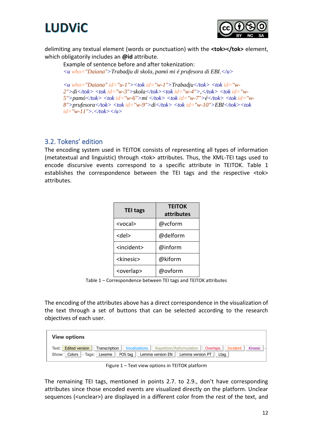



delimiting any textual element (words or punctuation) with the **<tok></tok>** element, which obligatorily includes an **@id** attribute.

Example of sentence before and after tokenization: *<u who="Daiana">Trabadju di skola, pamó mi é prufesora di EBI.</u>*

*<u who="Daiana" id="u-1"><tok id="w-1">Trabadju</tok> <tok id="w-2">di</tok> <tok id="w-3">skola</tok><tok id="w-4">,</tok> <tok id="w-5">pamó</tok> <tok id="w-6">mi </tok> <tok id="w-7">é</tok> <tok id="w-8">prufesora</tok> <tok id="w-9">di</tok> <tok id="w-10">EBI</tok><tok id="w-11">.</tok></u>*

#### <span id="page-11-0"></span>3.2. Tokens' edition

The encoding system used in TEITOK consists of representing all types of information (metatextual and linguistic) through <tok> attributes. Thus, the XML-TEI tags used to encode discursive events correspond to a specific attribute in TEITOK. Table 1 establishes the correspondence between the TEI tags and the respective <tok> attributes.

| <b>TEI tags</b>       | <b>TEITOK</b><br>attributes |
|-----------------------|-----------------------------|
| <vocal></vocal>       | @vcform                     |
| <del></del>           | @delform                    |
| <incident></incident> | @inform                     |
| <kinesic></kinesic>   | @kiform                     |
| <overlap></overlap>   | @ovform                     |

Table 1 – Correspondence between TEI tags and TEITOK attributes

The encoding of the attributes above has a direct correspondence in the visualization of the text through a set of buttons that can be selected according to the research objectives of each user.

| <b>View options</b>                                                                     |                                                                                                  |  |
|-----------------------------------------------------------------------------------------|--------------------------------------------------------------------------------------------------|--|
| <b>Edited version</b><br>Text:                                                          | <b>Transcription</b>   Vocalizations   Repetition/Reformulation   Overlaps   Incident<br>Kinesic |  |
| Show: Colors   - Tags: Lexeme   POS tag   Lemma version EN   Lemma version PT  <br>Ltag |                                                                                                  |  |

Figure 1 – Text view options in TEITOK platform

The remaining TEI tags, mentioned in points 2.7. to 2.9., don't have corresponding attributes since those encoded events are visualized directly on the platform. Unclear sequences (<unclear>) are displayed in a different color from the rest of the text, and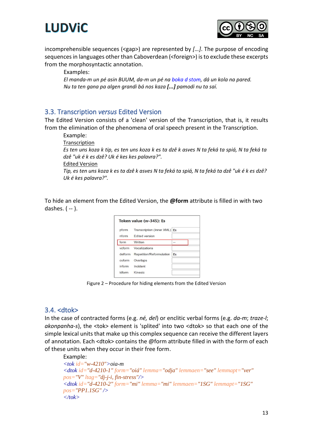

incomprehensible sequences (<gap>) are represented by *[…]*. The purpose of encoding sequences in languages other than Caboverdean (<foreign>) is to exclude these excerpts from the morphosyntactic annotation.

Examples:

*El manda-m un pé asin BUUM, da-m un pé na boka d stom, dá un kola na pared. Nu ta ten gana pa algen grandi bá nos kaza [...] pamodi nu ta saí.*

#### <span id="page-12-0"></span>3.3. Transcription *versus* Edited Version

The Edited Version consists of a 'clean' version of the Transcription, that is, it results from the elimination of the phenomena of oral speech present in the Transcription.

Example:

**Transcription** 

*Es ten uns koza k tip, es ten uns koza k es ta dzê k asves N ta feká ta spiá, N ta feká ta dzê "uk é k es dzê? Uk é kes kes palavra?".* 

Edited Version

*Tip, es ten uns koza k es ta dzê k asves N ta feká ta spiá, N ta feká ta dzê "uk é k es dzê? Uk é kes palavra?".* 

To hide an element from the Edited Version, the **@form** attribute is filled in with two dashes. ( -- ).



Figure 2 – Procedure for hiding elements from the Edited Version

### <span id="page-12-1"></span>3.4. <dtok>

In the case of contracted forms (e.g. *né, del*) or enclitic verbal forms (e.g. *da-m*; *traze-l*; *akonpanha-s*), the <tok> element is 'splited' into two <dtok> so that each one of the simple lexical units that make up this complex sequence can receive the different layers of annotation. Each <dtok> contains the @form attribute filled in with the form of each of these units when they occur in their free form.

#### Example:

```
<tok id="w-4210">oia-m
<dtok id="d-4210-1" form="oiá" lemma="odja" lemmaen="see" lemmapt="ver"
pos="V" ltag="dj-j-i, fin-stress"/>
<dtok id="d-4210-2" form="mi" lemma="mi" lemmaen="1SG" lemmapt="1SG"
pos="PP1.1SG" />
</tok>
```